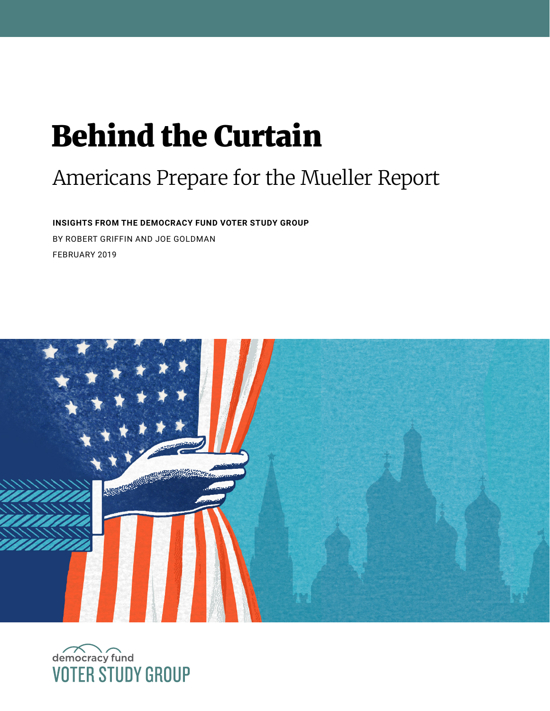# Behind the Curtain

# Americans Prepare for the Mueller Report

**INSIGHTS FROM THE DEMOCRACY FUND VOTER STUDY GROUP**  BY ROBERT GRIFFIN AND JOE GOLDMAN FEBRUARY 2019



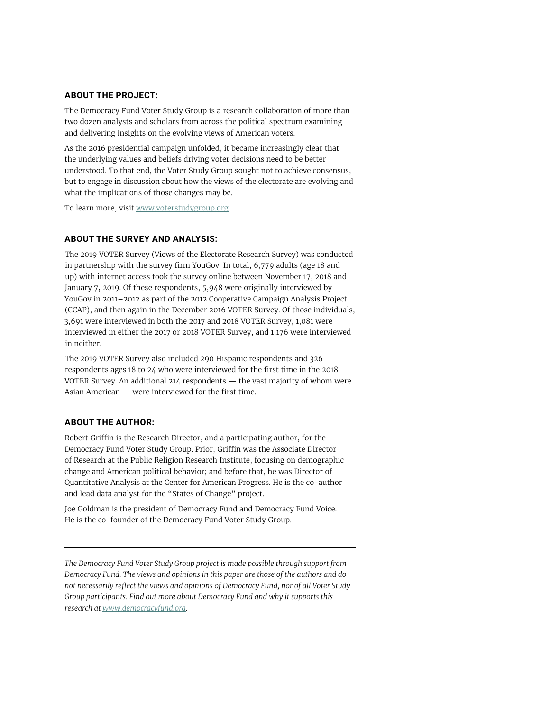#### **ABOUT THE PROJECT:**

The Democracy Fund Voter Study Group is a research collaboration of more than two dozen analysts and scholars from across the political spectrum examining and delivering insights on the evolving views of American voters.

As the 2016 presidential campaign unfolded, it became increasingly clear that the underlying values and beliefs driving voter decisions need to be better understood. To that end, the Voter Study Group sought not to achieve consensus, but to engage in discussion about how the views of the electorate are evolving and what the implications of those changes may be.

To learn more, visit [www.voterstudygroup.org](http://www.voterstudygroup.org).

#### **ABOUT THE SURVEY AND ANALYSIS:**

The 2019 VOTER Survey (Views of the Electorate Research Survey) was conducted in partnership with the survey firm YouGov. In total, 6,779 adults (age 18 and up) with internet access took the survey online between November 17, 2018 and January 7, 2019. Of these respondents, 5,948 were originally interviewed by YouGov in 2011–2012 as part of the 2012 Cooperative Campaign Analysis Project (CCAP), and then again in the December 2016 VOTER Survey. Of those individuals, 3,691 were interviewed in both the 2017 and 2018 VOTER Survey, 1,081 were interviewed in either the 2017 or 2018 VOTER Survey, and 1,176 were interviewed in neither.

The 2019 VOTER Survey also included 290 Hispanic respondents and 326 respondents ages 18 to 24 who were interviewed for the first time in the 2018 VOTER Survey. An additional 214 respondents — the vast majority of whom were Asian American — were interviewed for the first time.

#### **ABOUT THE AUTHOR:**

Robert Griffin is the Research Director, and a participating author, for the Democracy Fund Voter Study Group. Prior, Griffin was the Associate Director of Research at the Public Religion Research Institute, focusing on demographic change and American political behavior; and before that, he was Director of Quantitative Analysis at the Center for American Progress. He is the co-author and lead data analyst for the "States of Change" project.

Joe Goldman is the president of Democracy Fund and Democracy Fund Voice. He is the co-founder of the Democracy Fund Voter Study Group.

*The Democracy Fund Voter Study Group project is made possible through support from Democracy Fund. The views and opinions in this paper are those of the authors and do not necessarily reflect the views and opinions of Democracy Fund, nor of all Voter Study Group participants. Find out more about Democracy Fund and why it supports this research at [www.democracyfund.org.](https://www.democracyfund.org/)*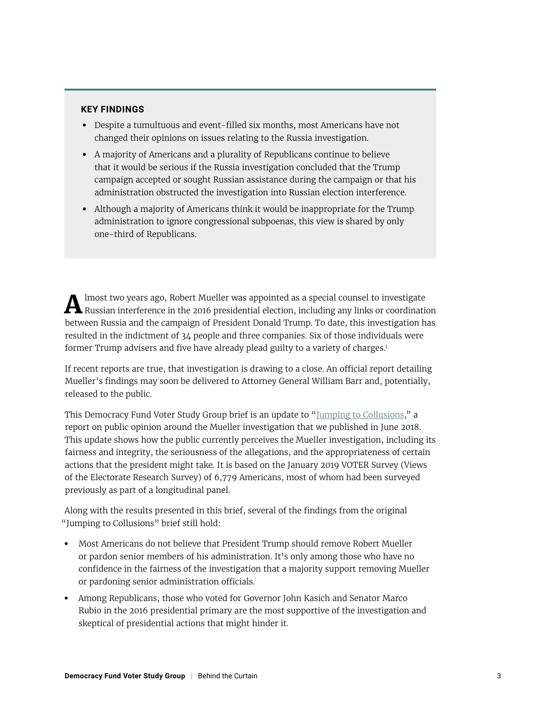#### **KEY FINDINGS**

- **•** Despite a tumultuous and event-filled six months, most Americans have not changed their opinions on issues relating to the Russia investigation.
- **•** A majority of Americans and a plurality of Republicans continue to believe that it would be serious if the Russia investigation concluded that the Trump campaign accepted or sought Russian assistance during the campaign or that his administration obstructed the investigation into Russian election interference.
- **•** Although a majority of Americans think it would be inappropriate for the Trump administration to ignore congressional subpoenas, this view is shared by only one-third of Republicans.

**A** lmost two years ago, Robert Mueller was appointed as a special counsel to investigate Russian interference in the 2016 presidential election, including any links or coordination between Russia and the campaign of President Donald Trump. To date, this investigation has resulted in the indictment of 34 people and three companies. Six of those individuals were former Trump advisers and five have already plead guilty to a variety of charges.<sup>i</sup>

If recent reports are true, that investigation is drawing to a close. An official report detailing Mueller's findings may soon be delivered to Attorney General William Barr and, potentially, released to the public.

This Democracy Fund Voter Study Group brief is an update to ["Jumping to Collusions](https://www.voterstudygroup.org/publications/2018-voter-survey/jumping-to-collusions)," a report on public opinion around the Mueller investigation that we published in June 2018. This update shows how the public currently perceives the Mueller investigation, including its fairness and integrity, the seriousness of the allegations, and the appropriateness of certain actions that the president might take. It is based on the January 2019 VOTER Survey (Views of the Electorate Research Survey) of 6,779 Americans, most of whom had been surveyed previously as part of a longitudinal panel.

Along with the results presented in this brief, several of the findings from the original "Jumping to Collusions" brief still hold:

- **•** Most Americans do not believe that President Trump should remove Robert Mueller or pardon senior members of his administration. It's only among those who have no confidence in the fairness of the investigation that a majority support removing Mueller or pardoning senior administration officials.
- **•** Among Republicans, those who voted for Governor John Kasich and Senator Marco Rubio in the 2016 presidential primary are the most supportive of the investigation and skeptical of presidential actions that might hinder it.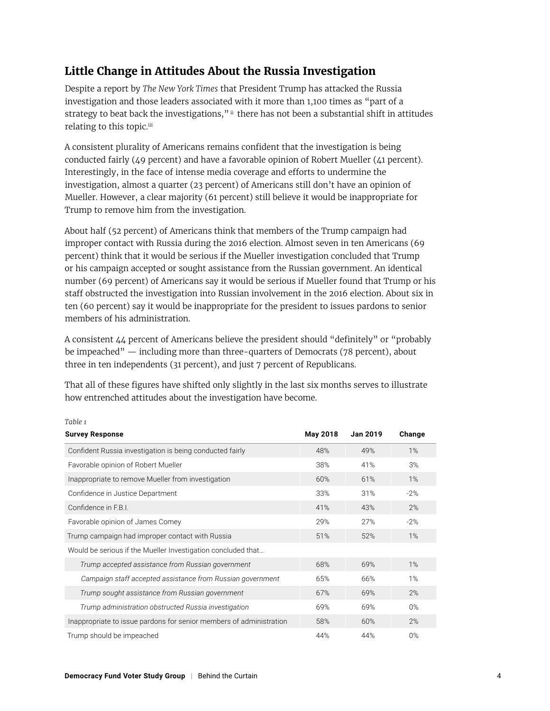# **Little Change in Attitudes About the Russia Investigation**

Despite a report by *The New York Times* that President Trump has attacked the Russia investigation and those leaders associated with it more than 1,100 times as "part of a strategy to beat back the investigations," ii there has not been a substantial shift in attitudes relating to this topic.<sup>iii</sup>

A consistent plurality of Americans remains confident that the investigation is being conducted fairly (49 percent) and have a favorable opinion of Robert Mueller (41 percent). Interestingly, in the face of intense media coverage and efforts to undermine the investigation, almost a quarter (23 percent) of Americans still don't have an opinion of Mueller. However, a clear majority (61 percent) still believe it would be inappropriate for Trump to remove him from the investigation.

About half (52 percent) of Americans think that members of the Trump campaign had improper contact with Russia during the 2016 election. Almost seven in ten Americans (69 percent) think that it would be serious if the Mueller investigation concluded that Trump or his campaign accepted or sought assistance from the Russian government. An identical number (69 percent) of Americans say it would be serious if Mueller found that Trump or his staff obstructed the investigation into Russian involvement in the 2016 election. About six in ten (60 percent) say it would be inappropriate for the president to issues pardons to senior members of his administration.

A consistent 44 percent of Americans believe the president should "definitely" or "probably be impeached" — including more than three-quarters of Democrats (78 percent), about three in ten independents (31 percent), and just 7 percent of Republicans.

That all of these figures have shifted only slightly in the last six months serves to illustrate how entrenched attitudes about the investigation have become.

| <b>Survey Response</b>                                              | May 2018 | <b>Jan 2019</b> | Change |
|---------------------------------------------------------------------|----------|-----------------|--------|
| Confident Russia investigation is being conducted fairly            | 48%      | 49%             | $1\%$  |
| Favorable opinion of Robert Mueller                                 | 38%      | 41%             | 3%     |
| Inappropriate to remove Mueller from investigation                  | 60%      | 61%             | $1\%$  |
| Confidence in Justice Department                                    | 33%      | 31%             | $-2%$  |
| Confidence in F.B.I.                                                | 41%      | 43%             | 2%     |
| Favorable opinion of James Comey                                    | 29%      | 27%             | $-2%$  |
| Trump campaign had improper contact with Russia                     | 51%      | 52%             | $1\%$  |
| Would be serious if the Mueller Investigation concluded that        |          |                 |        |
| Trump accepted assistance from Russian government                   | 68%      | 69%             | $1\%$  |
| Campaign staff accepted assistance from Russian government          | 65%      | 66%             | $1\%$  |
| Trump sought assistance from Russian government                     | 67%      | 69%             | 2%     |
| Trump administration obstructed Russia investigation                | 69%      | 69%             | $0\%$  |
| Inappropriate to issue pardons for senior members of administration | 58%      | 60%             | 2%     |
| Trump should be impeached                                           | 44%      | 44%             | $0\%$  |

#### *Table 1*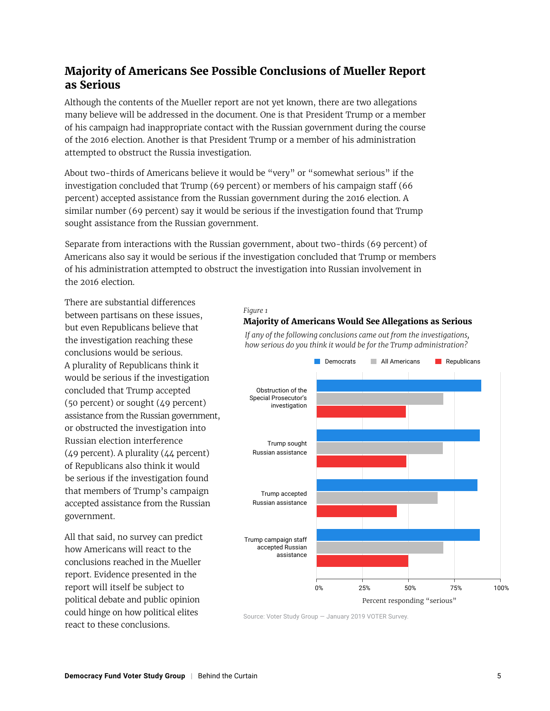## **Majority of Americans See Possible Conclusions of Mueller Report as Serious**

Although the contents of the Mueller report are not yet known, there are two allegations many believe will be addressed in the document. One is that President Trump or a member of his campaign had inappropriate contact with the Russian government during the course of the 2016 election. Another is that President Trump or a member of his administration attempted to obstruct the Russia investigation.

About two-thirds of Americans believe it would be "very" or "somewhat serious" if the investigation concluded that Trump (69 percent) or members of his campaign staff (66 percent) accepted assistance from the Russian government during the 2016 election. A similar number (69 percent) say it would be serious if the investigation found that Trump sought assistance from the Russian government.

Separate from interactions with the Russian government, about two-thirds (69 percent) of Americans also say it would be serious if the investigation concluded that Trump or members of his administration attempted to obstruct the investigation into Russian involvement in the 2016 election.

There are substantial differences between partisans on these issues, but even Republicans believe that the investigation reaching these conclusions would be serious. A plurality of Republicans think it would be serious if the investigation concluded that Trump accepted (50 percent) or sought (49 percent) assistance from the Russian government, or obstructed the investigation into Russian election interference (49 percent). A plurality (44 percent) of Republicans also think it would be serious if the investigation found that members of Trump's campaign accepted assistance from the Russian government.

All that said, no survey can predict how Americans will react to the conclusions reached in the Mueller report. Evidence presented in the report will itself be subject to political debate and public opinion could hinge on how political elites react to these conclusions.

#### *Figure 1*

#### **Majority of Americans Would See Allegations as Serious**



*If any of the following conclusions came out from the investigations, how serious do you think it would be for the Trump administration?*

Source: Voter Study Group — January 2019 VOTER Survey.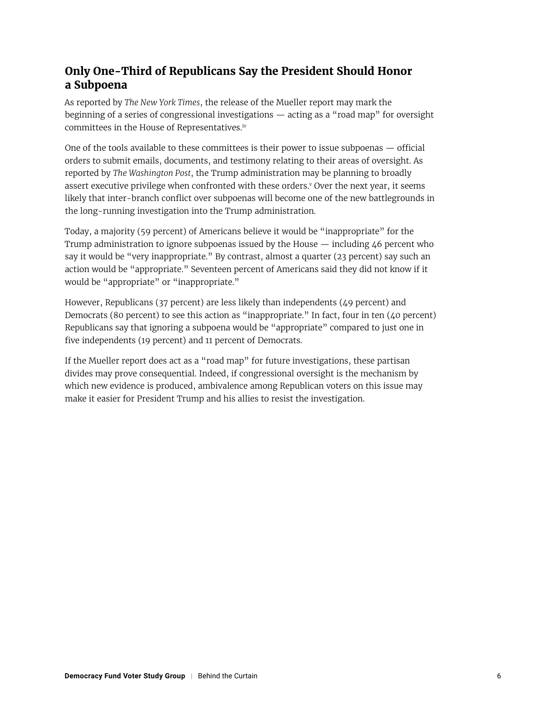# **Only One-Third of Republicans Say the President Should Honor a Subpoena**

As reported by *The New York Times*, the release of the Mueller report may mark the beginning of a series of congressional investigations — acting as a "road map" for oversight committees in the House of Representatives.iv

One of the tools available to these committees is their power to issue subpoenas — official orders to submit emails, documents, and testimony relating to their areas of oversight. As reported by *The Washington Post*, the Trump administration may be planning to broadly assert executive privilege when confronted with these orders.<sup>v</sup> Over the next year, it seems likely that inter-branch conflict over subpoenas will become one of the new battlegrounds in the long-running investigation into the Trump administration.

Today, a majority (59 percent) of Americans believe it would be "inappropriate" for the Trump administration to ignore subpoenas issued by the House — including 46 percent who say it would be "very inappropriate." By contrast, almost a quarter (23 percent) say such an action would be "appropriate." Seventeen percent of Americans said they did not know if it would be "appropriate" or "inappropriate."

However, Republicans (37 percent) are less likely than independents (49 percent) and Democrats (80 percent) to see this action as "inappropriate." In fact, four in ten (40 percent) Republicans say that ignoring a subpoena would be "appropriate" compared to just one in five independents (19 percent) and 11 percent of Democrats.

If the Mueller report does act as a "road map" for future investigations, these partisan divides may prove consequential. Indeed, if congressional oversight is the mechanism by which new evidence is produced, ambivalence among Republican voters on this issue may make it easier for President Trump and his allies to resist the investigation.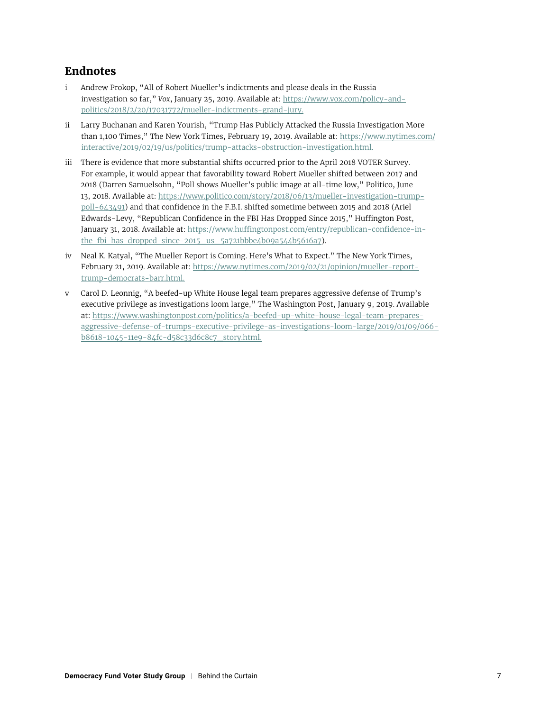### **Endnotes**

- i Andrew Prokop, "All of Robert Mueller's indictments and please deals in the Russia investigation so far," *Vox*, January 25, 2019. Available at: [https://www.vox.com/policy-and](https://www.vox.com/policy-and-politics/2018/2/20/17031772/mueller-indictments-grand-jury)[politics/2018/2/20/17031772/mueller-indictments-grand-jury.](https://www.vox.com/policy-and-politics/2018/2/20/17031772/mueller-indictments-grand-jury)
- ii Larry Buchanan and Karen Yourish, "Trump Has Publicly Attacked the Russia Investigation More than 1,100 Times," The New York Times, February 19, 2019. Available at: [https://www.nytimes.com/](https://www.nytimes.com/interactive/2019/02/19/us/politics/trump-attacks-obstruction-investigation.html) [interactive/2019/02/19/us/politics/trump-attacks-obstruction-investigation.html.](https://www.nytimes.com/interactive/2019/02/19/us/politics/trump-attacks-obstruction-investigation.html)
- iii There is evidence that more substantial shifts occurred prior to the April 2018 VOTER Survey. For example, it would appear that favorability toward Robert Mueller shifted between 2017 and 2018 (Darren Samuelsohn, "Poll shows Mueller's public image at all-time low," Politico, June 13, 2018. Available at: [https://www.politico.com/story/2018/06/13/mueller-investigation-trump](https://www.politico.com/story/2018/06/13/mueller-investigation-trump-poll-643491)[poll-643491\)](https://www.politico.com/story/2018/06/13/mueller-investigation-trump-poll-643491) and that confidence in the F.B.I. shifted sometime between 2015 and 2018 (Ariel Edwards-Levy, "Republican Confidence in the FBI Has Dropped Since 2015," Huffington Post, January 31, 2018. Available at: [https://www.huffingtonpost.com/entry/republican-confidence-in](https://www.huffingtonpost.com/entry/republican-confidence-in-the-fbi-has-dropped-since-2015_us_5a721bbbe4b09a544b5616a7)[the-fbi-has-dropped-since-2015\\_us\\_5a721bbbe4b09a544b5616a7](https://www.huffingtonpost.com/entry/republican-confidence-in-the-fbi-has-dropped-since-2015_us_5a721bbbe4b09a544b5616a7)).
- iv Neal K. Katyal, "The Mueller Report is Coming. Here's What to Expect." The New York Times, February 21, 2019. Available at: [https://www.nytimes.com/2019/02/21/opinion/mueller-report](https://www.nytimes.com/2019/02/21/opinion/mueller-report-trump-democrats-barr.html)[trump-democrats-barr.html.](https://www.nytimes.com/2019/02/21/opinion/mueller-report-trump-democrats-barr.html)
- v Carol D. Leonnig, "A beefed-up White House legal team prepares aggressive defense of Trump's executive privilege as investigations loom large," The Washington Post, January 9, 2019. Available at: [https://www.washingtonpost.com/politics/a-beefed-up-white-house-legal-team-prepares](https://www.washingtonpost.com/politics/a-beefed-up-white-house-legal-team-prepares-aggressive-defense-of-trumps-executive-privilege-as-investigations-loom-large/2019/01/09/066b8618-1045-11e9-84fc-d58c33d6c8c7_story.html)[aggressive-defense-of-trumps-executive-privilege-as-investigations-loom-large/2019/01/09/066](https://www.washingtonpost.com/politics/a-beefed-up-white-house-legal-team-prepares-aggressive-defense-of-trumps-executive-privilege-as-investigations-loom-large/2019/01/09/066b8618-1045-11e9-84fc-d58c33d6c8c7_story.html) [b8618-1045-11e9-84fc-d58c33d6c8c7\\_story.html.](https://www.washingtonpost.com/politics/a-beefed-up-white-house-legal-team-prepares-aggressive-defense-of-trumps-executive-privilege-as-investigations-loom-large/2019/01/09/066b8618-1045-11e9-84fc-d58c33d6c8c7_story.html)